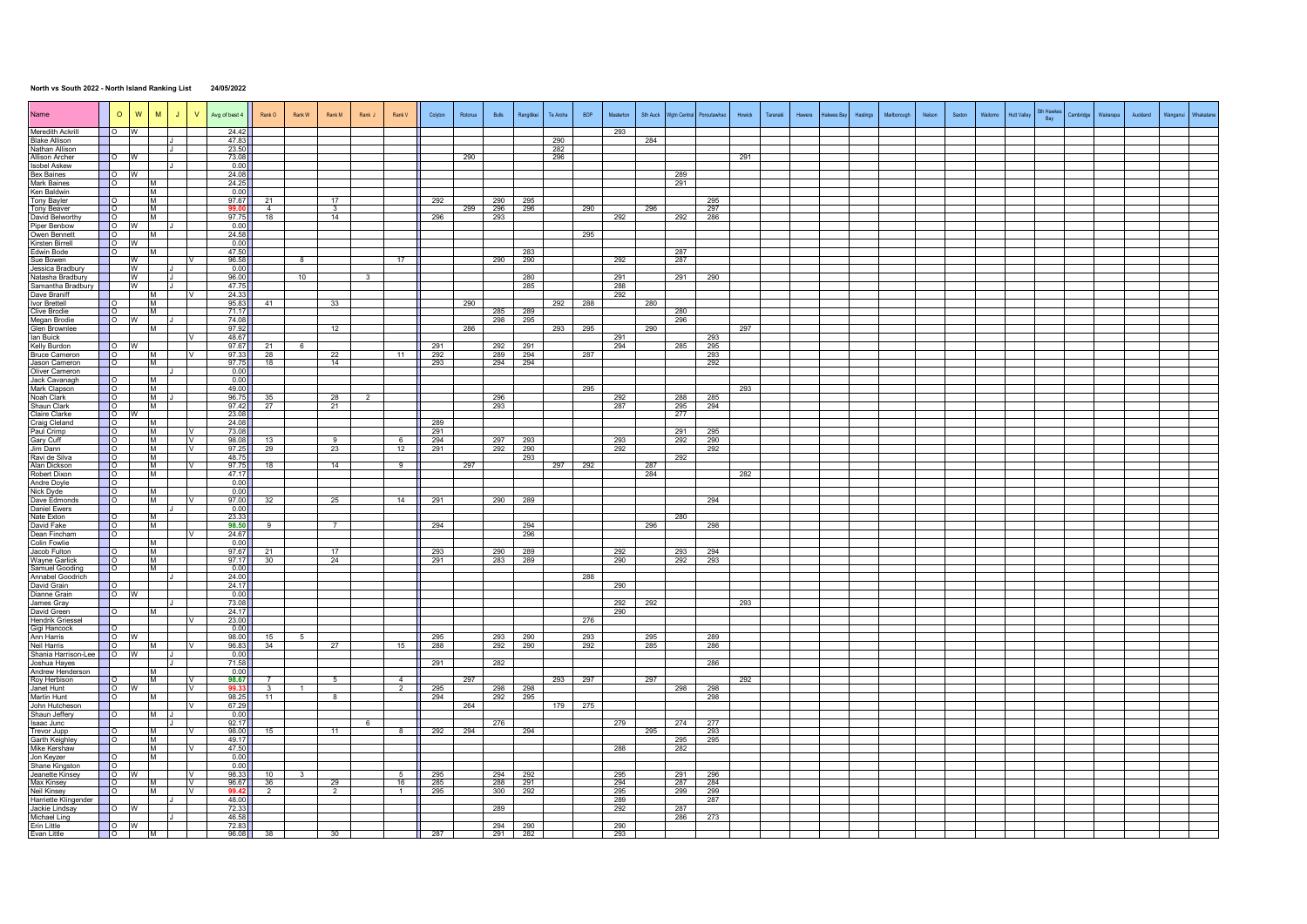## **North vs South 2022 - North Island Ranking List 24/05/2022**

| Name                                    | $\circ$                                                | W                                                   | M              | J <sub>1</sub> | V                  | Avg of best 4  | Rank O                  | Rank W                  | Rank M               | Rank J         | Rank V           | Colyton           | Rotorua | Bulls      | Rangitikei | Te Aroha   | <b>BOP</b> | Masterton  | Sth Auck | Wgtn Central | Poroutawhao       | Howick | Taranaki | Hawera | <b>Hakwes Bar</b> | Hastings | Marlborough | Nelson | Saxton | Waitomo | <b>Hutt Valley</b> | Sth Hawker<br>Bay | Cambridge | Wairarapa | Auckland | Wanganu |  |
|-----------------------------------------|--------------------------------------------------------|-----------------------------------------------------|----------------|----------------|--------------------|----------------|-------------------------|-------------------------|----------------------|----------------|------------------|-------------------|---------|------------|------------|------------|------------|------------|----------|--------------|-------------------|--------|----------|--------|-------------------|----------|-------------|--------|--------|---------|--------------------|-------------------|-----------|-----------|----------|---------|--|
| Meredith Ackrill                        |                                                        | W                                                   |                | . .            |                    | 24.42          |                         |                         |                      |                |                  |                   |         |            |            |            |            | 293        |          |              |                   |        |          |        |                   |          |             |        |        |         |                    |                   |           |           |          |         |  |
| <b>Blake Allison</b><br>Nathan Allison  |                                                        |                                                     |                |                |                    | 47.83<br>23.50 |                         |                         |                      |                |                  |                   |         |            |            | 290<br>282 |            |            | 284      |              |                   |        |          |        |                   |          |             |        |        |         |                    |                   |           |           |          |         |  |
| Allison Archer                          |                                                        | $\overline{\phantom{0}}$ o $\overline{\phantom{0}}$ |                |                |                    | 73.08          |                         |                         |                      |                |                  |                   | 290     |            |            | 296        |            |            |          |              |                   | 291    |          |        |                   |          |             |        |        |         |                    |                   |           |           |          |         |  |
| <b>Isobel Askew</b>                     |                                                        |                                                     |                |                |                    | 0.00           |                         |                         |                      |                |                  |                   |         |            |            |            |            |            |          |              |                   |        |          |        |                   |          |             |        |        |         |                    |                   |           |           |          |         |  |
| Bex Baines                              | <b>O</b>                                               | W                                                   |                |                |                    | 24.08          |                         |                         |                      |                |                  |                   |         |            |            |            |            |            |          | 289          |                   |        |          |        |                   |          |             |        |        |         |                    |                   |           |           |          |         |  |
| <b>Mark Baines</b>                      | $\overline{\phantom{0}}$                               |                                                     | M              |                |                    | 24.25          |                         |                         |                      |                |                  |                   |         |            |            |            |            |            |          | 291          |                   |        |          |        |                   |          |             |        |        |         |                    |                   |           |           |          |         |  |
| Ken Baldwin                             |                                                        |                                                     | M              |                |                    | 0.00           |                         |                         |                      |                |                  |                   |         |            |            |            |            |            |          |              |                   |        |          |        |                   |          |             |        |        |         |                    |                   |           |           |          |         |  |
| <b>Tony Bayler</b>                      |                                                        |                                                     | M              |                |                    | 97.67<br>99.00 | 21<br>$\overline{4}$    |                         | 17<br>$\mathcal{R}$  |                |                  | 292               |         | 290        | 295        |            |            |            |          |              | 295               |        |          |        |                   |          |             |        |        |         |                    |                   |           |           |          |         |  |
| Tony Beaver<br>David Belworthy          | $\overline{\phantom{a}}$<br>$\overline{\phantom{0}}$ 0 |                                                     | M<br>M         |                |                    | 97.75          | 18                      |                         | 14                   |                |                  | 296               | 299     | 296<br>293 | 296        |            | 290        | 292        | 296      |              | 297<br>292 286    |        |          |        |                   |          |             |        |        |         |                    |                   |           |           |          |         |  |
| Piper Benbow                            | $\overline{\phantom{0}}$                               | w                                                   |                | - 13           |                    | 0.00           |                         |                         |                      |                |                  |                   |         |            |            |            |            |            |          |              |                   |        |          |        |                   |          |             |        |        |         |                    |                   |           |           |          |         |  |
| Owen Bennett                            | $\circ$                                                |                                                     | M              |                |                    | 24.58          |                         |                         |                      |                |                  |                   |         |            |            |            | 295        |            |          |              |                   |        |          |        |                   |          |             |        |        |         |                    |                   |           |           |          |         |  |
| Kirsten Birrell                         | $\overline{\phantom{0}}$                               | W                                                   |                |                |                    | 0.00           |                         |                         |                      |                |                  |                   |         |            |            |            |            |            |          |              |                   |        |          |        |                   |          |             |        |        |         |                    |                   |           |           |          |         |  |
| Edwin Bode                              | $\overline{\phantom{a}}$                               |                                                     | M              |                |                    | 47.50          |                         |                         |                      |                |                  |                   |         |            | 283        |            |            |            |          | 287          |                   |        |          |        |                   |          |             |        |        |         |                    |                   |           |           |          |         |  |
| Sue Bowen                               |                                                        | W                                                   |                |                |                    | 96.58          |                         | 8                       |                      |                | 17               |                   |         | 290        | 290        |            |            | 292        |          | 287          |                   |        |          |        |                   |          |             |        |        |         |                    |                   |           |           |          |         |  |
| Jessica Bradbury<br>Natasha Bradbury    |                                                        | W<br>W                                              |                | ᠊ᠾ             |                    | 0.00<br>96.00  |                         | 10                      |                      |                |                  |                   |         |            | 280        |            |            | 291        |          | 291          | 290               |        |          |        |                   |          |             |        |        |         |                    |                   |           |           |          |         |  |
| Samantha Bradbury                       |                                                        | W                                                   |                | π              |                    | 47.75          |                         |                         |                      |                |                  |                   |         |            | 285        |            |            | 288        |          |              |                   |        |          |        |                   |          |             |        |        |         |                    |                   |           |           |          |         |  |
| Dave Braniff                            |                                                        |                                                     | м              |                |                    | 24.33          |                         |                         |                      |                |                  |                   |         |            |            |            |            | 292        |          |              |                   |        |          |        |                   |          |             |        |        |         |                    |                   |           |           |          |         |  |
| Ivor Brettell                           | <b>O</b>                                               |                                                     | M              |                |                    | 95.83          | 41                      |                         | 33                   |                |                  |                   | 290     |            |            |            | 292 288    |            | 280      |              |                   |        |          |        |                   |          |             |        |        |         |                    |                   |           |           |          |         |  |
| <b>Clive Brodie</b>                     | $\overline{\phantom{0}}$                               |                                                     | M              |                |                    | 71.17          |                         |                         |                      |                |                  |                   |         | 285        | 289        |            |            |            |          | 280          |                   |        |          |        |                   |          |             |        |        |         |                    |                   |           |           |          |         |  |
| Megan Brodie                            | $\overline{\phantom{0}}$                               | w                                                   | м              |                |                    | 74.08<br>97.92 |                         |                         |                      |                |                  |                   |         | 298        | 295        |            |            |            | 290      | 296          |                   | 297    |          |        |                   |          |             |        |        |         |                    |                   |           |           |          |         |  |
| <b>Glen Brownlee</b><br>lan Buick       |                                                        |                                                     |                |                |                    | 48.67          |                         |                         | 12                   |                |                  |                   | 286     |            |            | 293        | 295        | 291        |          |              | 293               |        |          |        |                   |          |             |        |        |         |                    |                   |           |           |          |         |  |
| Kelly Burdon                            | ెం                                                     |                                                     |                |                |                    | 97.67          | 21                      | 6                       |                      |                |                  | 291               |         | 292        | 291        |            |            | 294        |          | 285          | 295               |        |          |        |                   |          |             |        |        |         |                    |                   |           |           |          |         |  |
| <b>Bruce Cameron</b>                    | $\overline{\phantom{a}}$ $\overline{\phantom{a}}$      |                                                     | M              |                | $\mathcal{N}$      | 97.33          | 28                      |                         | 22                   |                | 11               | 292               |         | 289        | 294        |            | 287        |            |          |              | 293               |        |          |        |                   |          |             |        |        |         |                    |                   |           |           |          |         |  |
| Jason Cameron                           | – IO –                                                 |                                                     | M              |                |                    | 97.75          | 18                      |                         | 14                   |                |                  | 293               |         | 294        | 294        |            |            |            |          |              | 292               |        |          |        |                   |          |             |        |        |         |                    |                   |           |           |          |         |  |
| Oliver Cameron<br>Jack Cavanagh         |                                                        |                                                     | M              |                |                    | 0.00<br>0.00   |                         |                         |                      |                |                  |                   |         |            |            |            |            |            |          |              |                   |        |          |        |                   |          |             |        |        |         |                    |                   |           |           |          |         |  |
| Mark Clapson                            | $\overline{\phantom{a}}$                               |                                                     | M              |                |                    | 49.00          |                         |                         |                      |                |                  |                   |         |            |            |            | 295        |            |          |              |                   | 293    |          |        |                   |          |             |        |        |         |                    |                   |           |           |          |         |  |
| Noah Clark                              | ⊟ O                                                    |                                                     | M              |                |                    | 96.75          | 35                      |                         | 28                   | $\overline{2}$ |                  |                   |         | 296        |            |            |            | 292        |          | 288          | 285               |        |          |        |                   |          |             |        |        |         |                    |                   |           |           |          |         |  |
| Shaun Clark                             | <b>O</b>                                               |                                                     | M              |                |                    | 97.42          | 27                      |                         | 21                   |                |                  |                   |         | 293        |            |            |            | - 287      |          | 295          | 294               |        |          |        |                   |          |             |        |        |         |                    |                   |           |           |          |         |  |
| <b>Claire Clarke</b>                    | $\overline{\phantom{0}}$                               |                                                     |                |                |                    | 23.08          |                         |                         |                      |                |                  |                   |         |            |            |            |            |            |          | 277          |                   |        |          |        |                   |          |             |        |        |         |                    |                   |           |           |          |         |  |
| Craig Cleland                           | $\overline{\phantom{a}}$                               |                                                     | M<br>M         |                |                    | 24.08<br>73.08 |                         |                         |                      |                |                  | 289               |         |            |            |            |            |            |          |              |                   |        |          |        |                   |          |             |        |        |         |                    |                   |           |           |          |         |  |
| Paul Crimp<br>Gary Cuff                 | $\overline{\phantom{0}}$                               |                                                     | M              |                | V                  | 98.08          | 13                      |                         | $\overline{q}$       |                | - 6              | $\frac{291}{294}$ |         | 297        | 293        |            |            | 293        |          | 291<br>292   | $\frac{295}{290}$ |        |          |        |                   |          |             |        |        |         |                    |                   |           |           |          |         |  |
| Jim Dann                                | ⊟ o                                                    |                                                     | M              |                | $\sqrt{ }$         | 97.25          | 29                      |                         | 23                   |                | 12               | 291               |         | 292        | 290        |            |            | 292        |          |              | 292               |        |          |        |                   |          |             |        |        |         |                    |                   |           |           |          |         |  |
| Ravi de Silva                           | <b>OL</b>                                              |                                                     | M              |                |                    | 48.75          |                         |                         |                      |                |                  |                   |         |            | 293        |            |            |            |          | 292          |                   |        |          |        |                   |          |             |        |        |         |                    |                   |           |           |          |         |  |
| Alan Dickson                            |                                                        |                                                     | M              |                |                    | 97.75          | 18                      |                         | 14                   |                | -9               |                   | 297     |            |            |            | 297 292    |            | 287      |              |                   |        |          |        |                   |          |             |        |        |         |                    |                   |           |           |          |         |  |
| Robert Dixon<br>Andre Doyle             | $\overline{\phantom{0}}$ 0<br>⊟ O                      |                                                     | M              |                |                    | 47.17<br>0.00  |                         |                         |                      |                |                  |                   |         |            |            |            |            |            | 284      |              |                   | 282    |          |        |                   |          |             |        |        |         |                    |                   |           |           |          |         |  |
| Nick Dyde                               | <b>O</b>                                               |                                                     | M              |                |                    | 0.00           |                         |                         |                      |                |                  |                   |         |            |            |            |            |            |          |              |                   |        |          |        |                   |          |             |        |        |         |                    |                   |           |           |          |         |  |
| Dave Edmonds                            | ō                                                      |                                                     | M              |                |                    | 97.00          | 32                      |                         | 25                   |                | 14               | 291               |         | 290        | 289        |            |            |            |          |              | 294               |        |          |        |                   |          |             |        |        |         |                    |                   |           |           |          |         |  |
| Daniel Ewers                            |                                                        |                                                     |                |                |                    | 0.00           |                         |                         |                      |                |                  |                   |         |            |            |            |            |            |          |              |                   |        |          |        |                   |          |             |        |        |         |                    |                   |           |           |          |         |  |
| Nate Exton                              | <b>O</b>                                               |                                                     | M              |                |                    | 23.33          |                         |                         |                      |                |                  |                   |         |            |            |            |            |            |          | 280          |                   |        |          |        |                   |          |             |        |        |         |                    |                   |           |           |          |         |  |
| David Fake<br>Dean Fincham              | ⊟ ∩<br>— I∩                                            |                                                     | M              |                |                    | 98.50<br>24.67 | -9                      |                         | $\overline{7}$       |                |                  | 294               |         |            | 294<br>296 |            |            |            | 296      |              | 298               |        |          |        |                   |          |             |        |        |         |                    |                   |           |           |          |         |  |
| <b>Colin Fowlie</b>                     |                                                        |                                                     | M              |                |                    | 0.00           |                         |                         |                      |                |                  |                   |         |            |            |            |            |            |          |              |                   |        |          |        |                   |          |             |        |        |         |                    |                   |           |           |          |         |  |
| Jacob Fulton                            | ി റ                                                    |                                                     | M              |                |                    | 97.67          | 21                      |                         | 17                   |                |                  | 293               |         | 290        | 289        |            |            | 292        |          | 293          | 294               |        |          |        |                   |          |             |        |        |         |                    |                   |           |           |          |         |  |
| <b>Wayne Garlick</b>                    | <b>O</b>                                               |                                                     | M              |                |                    | 97.17          | 30                      |                         | 24                   |                |                  | 291               |         | 283        | 289        |            |            | 290        |          | 292          | 293               |        |          |        |                   |          |             |        |        |         |                    |                   |           |           |          |         |  |
| Samuel Gooding                          | $\overline{\phantom{a}}$                               |                                                     | <b>M</b>       |                |                    | 0.00           |                         |                         |                      |                |                  |                   |         |            |            |            |            |            |          |              |                   |        |          |        |                   |          |             |        |        |         |                    |                   |           |           |          |         |  |
| Annabel Goodrich<br>David Grain         | <b>O</b>                                               |                                                     |                |                |                    | 24.00<br>24.17 |                         |                         |                      |                |                  |                   |         |            |            |            | 288        | 290        |          |              |                   |        |          |        |                   |          |             |        |        |         |                    |                   |           |           |          |         |  |
| <b>Dianne Grain</b>                     | - 10                                                   |                                                     |                |                |                    | 0.00           |                         |                         |                      |                |                  |                   |         |            |            |            |            |            |          |              |                   |        |          |        |                   |          |             |        |        |         |                    |                   |           |           |          |         |  |
| James Gray                              |                                                        |                                                     |                | . .            |                    | 73.08          |                         |                         |                      |                |                  |                   |         |            |            |            |            | 292        | 292      |              |                   | 293    |          |        |                   |          |             |        |        |         |                    |                   |           |           |          |         |  |
| David Green                             | ിറ                                                     |                                                     | M              |                |                    | 24.17          |                         |                         |                      |                |                  |                   |         |            |            |            |            | 290        |          |              |                   |        |          |        |                   |          |             |        |        |         |                    |                   |           |           |          |         |  |
| <b>Hendrik Griessel</b><br>Gigi Hancock |                                                        |                                                     |                |                |                    | 23.00<br>0.00  |                         |                         |                      |                |                  |                   |         |            |            |            | 276        |            |          |              |                   |        |          |        |                   |          |             |        |        |         |                    |                   |           |           |          |         |  |
| Ann Harris                              | -<br>ov                                                |                                                     |                |                |                    | 98.00          | 15                      | $-5$                    |                      |                |                  | 295               |         | 293        | 290        |            | 293        |            | 295      |              | 289               |        |          |        |                   |          |             |        |        |         |                    |                   |           |           |          |         |  |
| Neil Harris                             | $\overline{\phantom{a}}$                               |                                                     | M              |                |                    | 96.83          | 34                      |                         | 27                   |                | 15               | 288               |         | 292        | 290        |            | 292        |            | 285      |              | 286               |        |          |        |                   |          |             |        |        |         |                    |                   |           |           |          |         |  |
| Shania Harrison-Lee   O W               |                                                        |                                                     |                | IJ             |                    | 0.00           |                         |                         |                      |                |                  |                   |         |            |            |            |            |            |          |              |                   |        |          |        |                   |          |             |        |        |         |                    |                   |           |           |          |         |  |
| Joshua Hayes                            |                                                        |                                                     |                |                |                    | 71.58          |                         |                         |                      |                |                  | 291               |         | 282        |            |            |            |            |          |              | 286               |        |          |        |                   |          |             |        |        |         |                    |                   |           |           |          |         |  |
| Andrew Henderson<br>Roy Herbison        | <b>The Contract State</b><br>$\overline{\phantom{a}}$  |                                                     | M<br>M         |                |                    | 0.00<br>98.67  | $\overline{7}$          |                         | $5\overline{)}$      |                | $\overline{4}$   |                   | 297     |            |            |            | 293 297    |            | 297      |              |                   | 292    |          |        |                   |          |             |        |        |         |                    |                   |           |           |          |         |  |
| Janet Hunt                              |                                                        | <b>IO</b> W                                         |                |                | IV                 | 99.33          | $\overline{\mathbf{3}}$ | $\overline{1}$          |                      |                | 2                | 295               |         | 298        | - 298      |            |            |            |          | 298 T        | 298               |        |          |        |                   |          |             |        |        |         |                    |                   |           |           |          |         |  |
| Martin Hunt                             |                                                        |                                                     | M              |                |                    | 98.25          | 11                      |                         | 8                    |                |                  | 294               |         | 292        | 295        |            |            |            |          |              | 298               |        |          |        |                   |          |             |        |        |         |                    |                   |           |           |          |         |  |
| John Hutcheson                          |                                                        |                                                     |                |                | V                  | 67.29          |                         |                         |                      |                |                  |                   | 264     |            |            |            | 179 275    |            |          |              |                   |        |          |        |                   |          |             |        |        |         |                    |                   |           |           |          |         |  |
| Shaun Jeffery                           |                                                        |                                                     | M              |                |                    | 0.00           |                         |                         |                      |                |                  |                   |         |            |            |            |            |            |          |              |                   |        |          |        |                   |          |             |        |        |         |                    |                   |           |           |          |         |  |
| Isaac Junc<br><b>Trevor Jupp</b>        | <b>O</b>                                               |                                                     | M              |                |                    | 92.17<br>98.00 | 15                      |                         | 11                   | - 6            |                  | 292               | 294     | 276        | 294        |            |            | 279        |          | 274          | 277<br>293        |        |          |        |                   |          |             |        |        |         |                    |                   |           |           |          |         |  |
| Garth Keighley                          | $\overline{\phantom{a}}$ o                             |                                                     | M <sup>3</sup> |                |                    | 49.17          |                         |                         |                      |                | 8                |                   |         |            |            |            |            |            | 295      | 295          | 295               |        |          |        |                   |          |             |        |        |         |                    |                   |           |           |          |         |  |
| Mike Kershaw                            |                                                        |                                                     | M              |                |                    | 47.50          |                         |                         |                      |                |                  |                   |         |            |            |            |            | - 288      |          | 282          |                   |        |          |        |                   |          |             |        |        |         |                    |                   |           |           |          |         |  |
| Jon Keyzer                              | – IO →                                                 |                                                     | M              |                |                    | 0.00           |                         |                         |                      |                |                  |                   |         |            |            |            |            |            |          |              |                   |        |          |        |                   |          |             |        |        |         |                    |                   |           |           |          |         |  |
| Shane Kingston                          | $\overline{\phantom{0}}$                               |                                                     |                |                |                    | 0.00           |                         |                         |                      |                |                  |                   |         |            |            |            |            |            |          |              |                   |        |          |        |                   |          |             |        |        |         |                    |                   |           |           |          |         |  |
| Jeanette Kinsey<br>Max Kinsey           | ിറ                                                     | $\overline{\phantom{a}}$ o w                        | м              |                | <b>V</b><br>$\vee$ | 98.33          | 10                      | $\overline{\mathbf{3}}$ |                      |                | $\sqrt{5}$<br>16 | $\frac{295}{2}$   |         | 294        | 292        |            |            | 295<br>294 |          | 291<br>287   | 296               |        |          |        |                   |          |             |        |        |         |                    |                   |           |           |          |         |  |
| <b>Neil Kinsey</b>                      | $\blacksquare$                                         |                                                     | M              |                |                    | 96.67<br>99.42 | 36<br>$\overline{2}$    |                         | 29<br>$\overline{2}$ |                | 1                | - 285<br>295      |         | 288<br>300 | 291<br>292 |            |            | 295        |          | 299          | 284<br>299        |        |          |        |                   |          |             |        |        |         |                    |                   |           |           |          |         |  |
| Harriette Klingende                     |                                                        |                                                     |                |                |                    | 48.00          |                         |                         |                      |                |                  |                   |         |            |            |            |            | 289        |          |              | 287               |        |          |        |                   |          |             |        |        |         |                    |                   |           |           |          |         |  |
| Jackie Lindsay                          | <b>O</b>                                               | W                                                   |                |                |                    | 72.33          |                         |                         |                      |                |                  |                   |         | 289        |            |            |            | 292        |          | 287          |                   |        |          |        |                   |          |             |        |        |         |                    |                   |           |           |          |         |  |
| Michael Ling                            |                                                        |                                                     |                | J              |                    | 46.58          |                         |                         |                      |                |                  |                   |         |            |            |            |            |            |          | 286          | 273               |        |          |        |                   |          |             |        |        |         |                    |                   |           |           |          |         |  |
| Erin Little                             |                                                        |                                                     |                |                |                    | 72.83          |                         |                         |                      |                |                  | $\frac{1}{287}$   |         | 294        | 290        |            |            | 290        |          |              |                   |        |          |        |                   |          |             |        |        |         |                    |                   |           |           |          |         |  |
| Evan Little                             | $\overline{\phantom{0}}$                               |                                                     | M              |                |                    | 96.08          | 38                      |                         | 30                   |                |                  |                   |         | 291        | 282        |            |            | 293        |          |              |                   |        |          |        |                   |          |             |        |        |         |                    |                   |           |           |          |         |  |